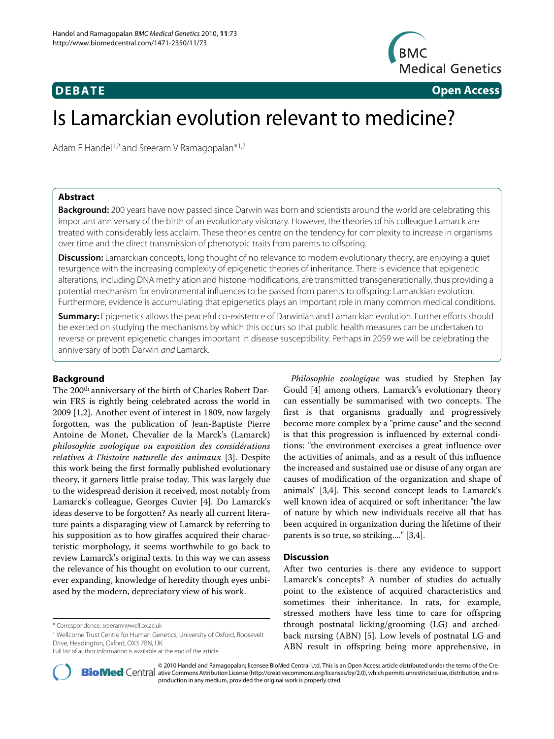

**DEBATE Open Access**

# Is Lamarckian evolution relevant to medicine?

Adam E Handel<sup>1,2</sup> and Sreeram V Ramagopalan<sup>\*1,2</sup>

# **Abstract**

**Background:** 200 years have now passed since Darwin was born and scientists around the world are celebrating this important anniversary of the birth of an evolutionary visionary. However, the theories of his colleague Lamarck are treated with considerably less acclaim. These theories centre on the tendency for complexity to increase in organisms over time and the direct transmission of phenotypic traits from parents to offspring.

**Discussion:** Lamarckian concepts, long thought of no relevance to modern evolutionary theory, are enjoying a quiet resurgence with the increasing complexity of epigenetic theories of inheritance. There is evidence that epigenetic alterations, including DNA methylation and histone modifications, are transmitted transgenerationally, thus providing a potential mechanism for environmental influences to be passed from parents to offspring: Lamarckian evolution. Furthermore, evidence is accumulating that epigenetics plays an important role in many common medical conditions.

**Summary:** Epigenetics allows the peaceful co-existence of Darwinian and Lamarckian evolution. Further efforts should be exerted on studying the mechanisms by which this occurs so that public health measures can be undertaken to reverse or prevent epigenetic changes important in disease susceptibility. Perhaps in 2059 we will be celebrating the anniversary of both Darwin and Lamarck.

# **Background**

The 200<sup>th</sup> anniversary of the birth of Charles Robert Darwin FRS is rightly being celebrated across the world in 2009 [\[1](#page-2-0)[,2](#page-2-1)]. Another event of interest in 1809, now largely forgotten, was the publication of Jean-Baptiste Pierre Antoine de Monet, Chevalier de la Marck's (Lamarck) *philosophie zoologique ou exposition des considérations relatives à l'histoire naturelle des animaux* [[3\]](#page-2-2). Despite this work being the first formally published evolutionary theory, it garners little praise today. This was largely due to the widespread derision it received, most notably from Lamarck's colleague, Georges Cuvier [[4](#page-2-3)]. Do Lamarck's ideas deserve to be forgotten? As nearly all current literature paints a disparaging view of Lamarck by referring to his supposition as to how giraffes acquired their characteristic morphology, it seems worthwhile to go back to review Lamarck's original texts. In this way we can assess the relevance of his thought on evolution to our current, ever expanding, knowledge of heredity though eyes unbiased by the modern, depreciatory view of his work.

*Philosophie zoologique* was studied by Stephen Jay Gould [\[4\]](#page-2-3) among others. Lamarck's evolutionary theory can essentially be summarised with two concepts. The first is that organisms gradually and progressively become more complex by a "prime cause" and the second is that this progression is influenced by external conditions: "the environment exercises a great influence over the activities of animals, and as a result of this influence the increased and sustained use or disuse of any organ are causes of modification of the organization and shape of animals" [[3,](#page-2-2)[4\]](#page-2-3). This second concept leads to Lamarck's well known idea of acquired or soft inheritance: "the law of nature by which new individuals receive all that has been acquired in organization during the lifetime of their parents is so true, so striking...." [[3](#page-2-2),[4\]](#page-2-3).

# **Discussion**

After two centuries is there any evidence to support Lamarck's concepts? A number of studies do actually point to the existence of acquired characteristics and sometimes their inheritance. In rats, for example, stressed mothers have less time to care for offspring through postnatal licking/grooming (LG) and archedback nursing (ABN) [[5\]](#page-2-4). Low levels of postnatal LG and ABN result in offspring being more apprehensive, in



© 2010 Handel and Ramagopalan; licensee [BioMed](http://www.biomedcentral.com/) Central Ltd. This is an Open Access article distributed under the terms of the Cre-<br>Pio Med Central ative Commons Attribution License (http://creativecommons.org/licenses/by/2 production in any medium, provided the original work is properly cited.

<sup>\*</sup> Correspondence: sreeramr@well.ox.ac.uk

<sup>1</sup> Wellcome Trust Centre for Human Genetics, University of Oxford, Roosevelt Drive, Headington, Oxford, OX3 7BN, UK

Full list of author information is available at the end of the article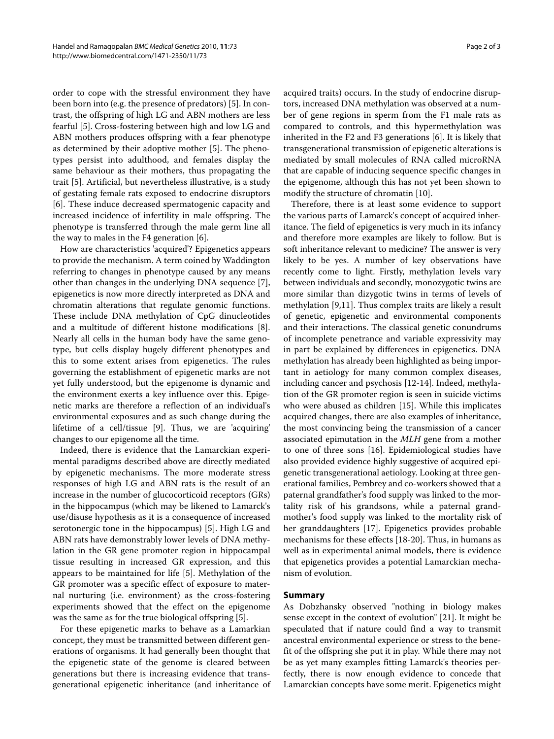order to cope with the stressful environment they have been born into (e.g. the presence of predators) [[5\]](#page-2-4). In contrast, the offspring of high LG and ABN mothers are less fearful [\[5\]](#page-2-4). Cross-fostering between high and low LG and ABN mothers produces offspring with a fear phenotype as determined by their adoptive mother [\[5](#page-2-4)]. The phenotypes persist into adulthood, and females display the same behaviour as their mothers, thus propagating the trait [[5\]](#page-2-4). Artificial, but nevertheless illustrative, is a study of gestating female rats exposed to endocrine disruptors [[6\]](#page-2-5). These induce decreased spermatogenic capacity and increased incidence of infertility in male offspring. The phenotype is transferred through the male germ line all the way to males in the F4 generation [[6\]](#page-2-5).

How are characteristics 'acquired'? Epigenetics appears to provide the mechanism. A term coined by Waddington referring to changes in phenotype caused by any means other than changes in the underlying DNA sequence [\[7](#page-2-6)], epigenetics is now more directly interpreted as DNA and chromatin alterations that regulate genomic functions. These include DNA methylation of CpG dinucleotides and a multitude of different histone modifications [\[8](#page-2-7)]. Nearly all cells in the human body have the same genotype, but cells display hugely different phenotypes and this to some extent arises from epigenetics. The rules governing the establishment of epigenetic marks are not yet fully understood, but the epigenome is dynamic and the environment exerts a key influence over this. Epigenetic marks are therefore a reflection of an individual's environmental exposures and as such change during the lifetime of a cell/tissue [[9](#page-2-8)]. Thus, we are 'acquiring' changes to our epigenome all the time.

Indeed, there is evidence that the Lamarckian experimental paradigms described above are directly mediated by epigenetic mechanisms. The more moderate stress responses of high LG and ABN rats is the result of an increase in the number of glucocorticoid receptors (GRs) in the hippocampus (which may be likened to Lamarck's use/disuse hypothesis as it is a consequence of increased serotonergic tone in the hippocampus) [\[5](#page-2-4)]. High LG and ABN rats have demonstrably lower levels of DNA methylation in the GR gene promoter region in hippocampal tissue resulting in increased GR expression, and this appears to be maintained for life [\[5](#page-2-4)]. Methylation of the GR promoter was a specific effect of exposure to maternal nurturing (i.e. environment) as the cross-fostering experiments showed that the effect on the epigenome was the same as for the true biological offspring [\[5](#page-2-4)].

For these epigenetic marks to behave as a Lamarkian concept, they must be transmitted between different generations of organisms. It had generally been thought that the epigenetic state of the genome is cleared between generations but there is increasing evidence that transgenerational epigenetic inheritance (and inheritance of

acquired traits) occurs. In the study of endocrine disruptors, increased DNA methylation was observed at a number of gene regions in sperm from the F1 male rats as compared to controls, and this hypermethylation was inherited in the F2 and F3 generations [\[6](#page-2-5)]. It is likely that transgenerational transmission of epigenetic alterations is mediated by small molecules of RNA called microRNA that are capable of inducing sequence specific changes in the epigenome, although this has not yet been shown to modify the structure of chromatin [[10\]](#page-2-9).

Therefore, there is at least some evidence to support the various parts of Lamarck's concept of acquired inheritance. The field of epigenetics is very much in its infancy and therefore more examples are likely to follow. But is soft inheritance relevant to medicine? The answer is very likely to be yes. A number of key observations have recently come to light. Firstly, methylation levels vary between individuals and secondly, monozygotic twins are more similar than dizygotic twins in terms of levels of methylation [[9,](#page-2-8)[11\]](#page-2-10). Thus complex traits are likely a result of genetic, epigenetic and environmental components and their interactions. The classical genetic conundrums of incomplete penetrance and variable expressivity may in part be explained by differences in epigenetics. DNA methylation has already been highlighted as being important in aetiology for many common complex diseases, including cancer and psychosis [[12-](#page-2-11)[14\]](#page-2-12). Indeed, methylation of the GR promoter region is seen in suicide victims who were abused as children [\[15\]](#page-2-13). While this implicates acquired changes, there are also examples of inheritance, the most convincing being the transmission of a cancer associated epimutation in the *MLH* gene from a mother to one of three sons [[16](#page-2-14)]. Epidemiological studies have also provided evidence highly suggestive of acquired epigenetic transgenerational aetiology. Looking at three generational families, Pembrey and co-workers showed that a paternal grandfather's food supply was linked to the mortality risk of his grandsons, while a paternal grandmother's food supply was linked to the mortality risk of her granddaughters [[17\]](#page-2-15). Epigenetics provides probable mechanisms for these effects [\[18-](#page-2-16)[20](#page-2-17)]. Thus, in humans as well as in experimental animal models, there is evidence that epigenetics provides a potential Lamarckian mechanism of evolution.

## **Summary**

As Dobzhansky observed "nothing in biology makes sense except in the context of evolution" [\[21](#page-2-18)]. It might be speculated that if nature could find a way to transmit ancestral environmental experience or stress to the benefit of the offspring she put it in play. While there may not be as yet many examples fitting Lamarck's theories perfectly, there is now enough evidence to concede that Lamarckian concepts have some merit. Epigenetics might